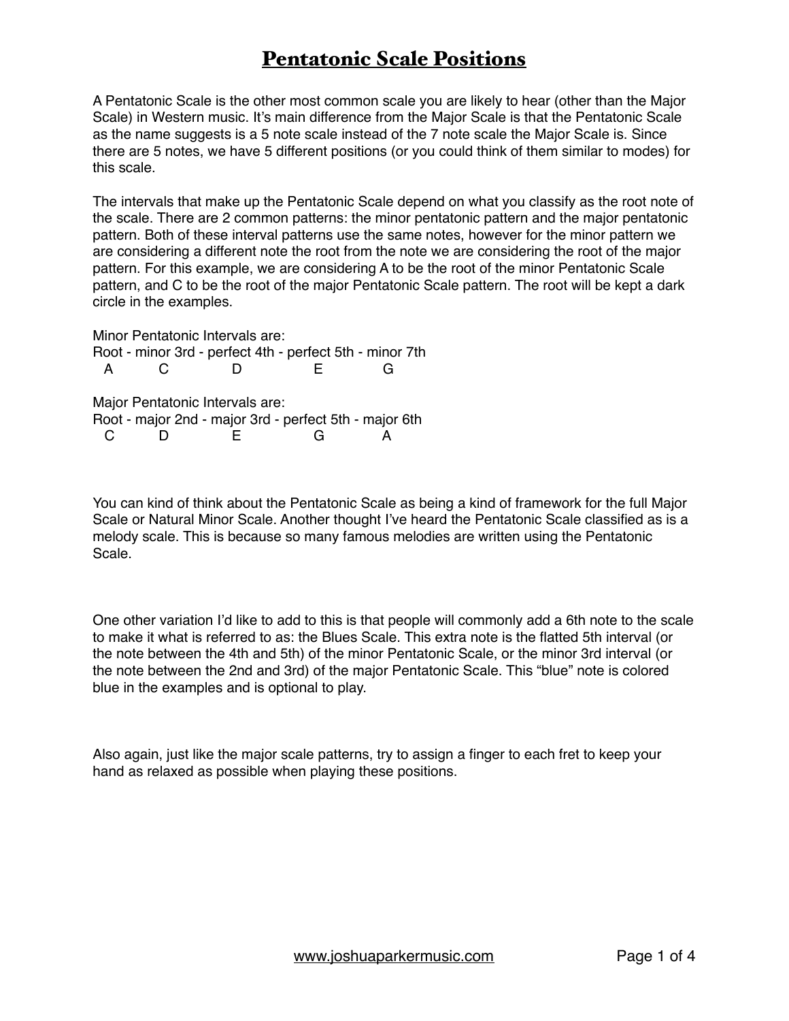A Pentatonic Scale is the other most common scale you are likely to hear (other than the Major Scale) in Western music. It's main difference from the Major Scale is that the Pentatonic Scale as the name suggests is a 5 note scale instead of the 7 note scale the Major Scale is. Since there are 5 notes, we have 5 different positions (or you could think of them similar to modes) for this scale.

The intervals that make up the Pentatonic Scale depend on what you classify as the root note of the scale. There are 2 common patterns: the minor pentatonic pattern and the major pentatonic pattern. Both of these interval patterns use the same notes, however for the minor pattern we are considering a different note the root from the note we are considering the root of the major pattern. For this example, we are considering A to be the root of the minor Pentatonic Scale pattern, and C to be the root of the major Pentatonic Scale pattern. The root will be kept a dark circle in the examples.

Minor Pentatonic Intervals are: Root - minor 3rd - perfect 4th - perfect 5th - minor 7th A C D E G Major Pentatonic Intervals are: Root - major 2nd - major 3rd - perfect 5th - major 6th C D E G A

You can kind of think about the Pentatonic Scale as being a kind of framework for the full Major Scale or Natural Minor Scale. Another thought I've heard the Pentatonic Scale classified as is a melody scale. This is because so many famous melodies are written using the Pentatonic Scale.

One other variation I'd like to add to this is that people will commonly add a 6th note to the scale to make it what is referred to as: the Blues Scale. This extra note is the flatted 5th interval (or the note between the 4th and 5th) of the minor Pentatonic Scale, or the minor 3rd interval (or the note between the 2nd and 3rd) of the major Pentatonic Scale. This "blue" note is colored blue in the examples and is optional to play.

Also again, just like the major scale patterns, try to assign a finger to each fret to keep your hand as relaxed as possible when playing these positions.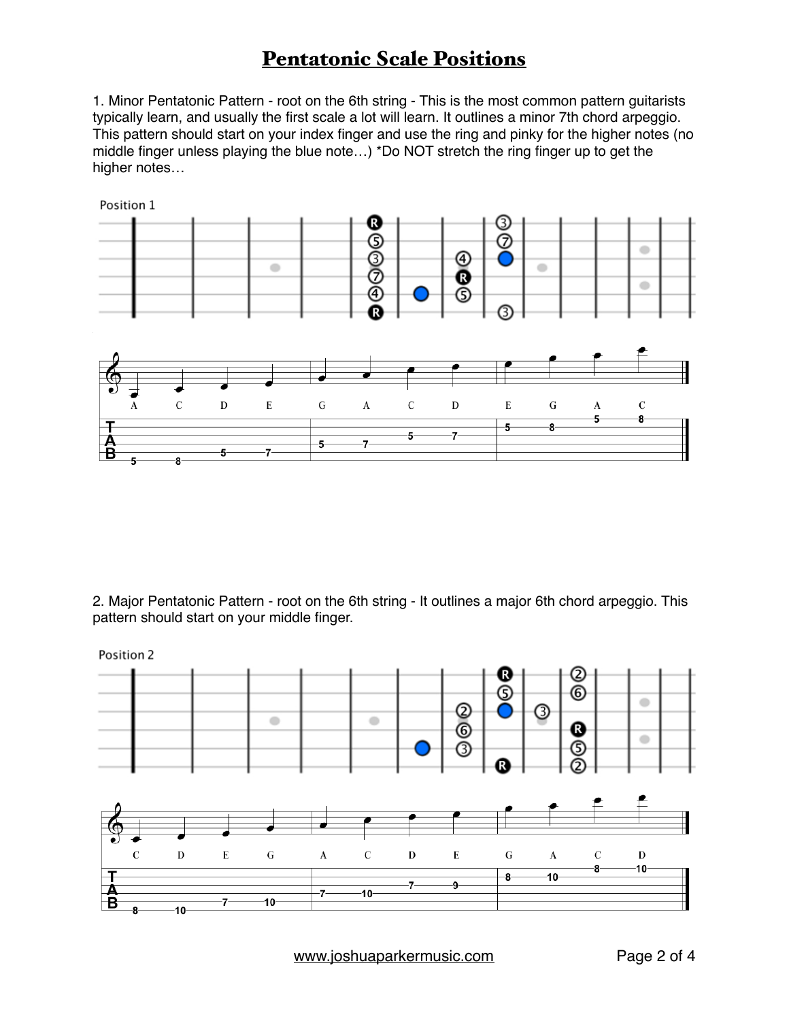1. Minor Pentatonic Pattern - root on the 6th string - This is the most common pattern guitarists typically learn, and usually the first scale a lot will learn. It outlines a minor 7th chord arpeggio. This pattern should start on your index finger and use the ring and pinky for the higher notes (no middle finger unless playing the blue note…) \*Do NOT stretch the ring finger up to get the higher notes…



2. Major Pentatonic Pattern - root on the 6th string - It outlines a major 6th chord arpeggio. This pattern should start on your middle finger.



[www.joshuaparkermusic.com](http://www.joshuaparkermusic.com) Page 2 of 4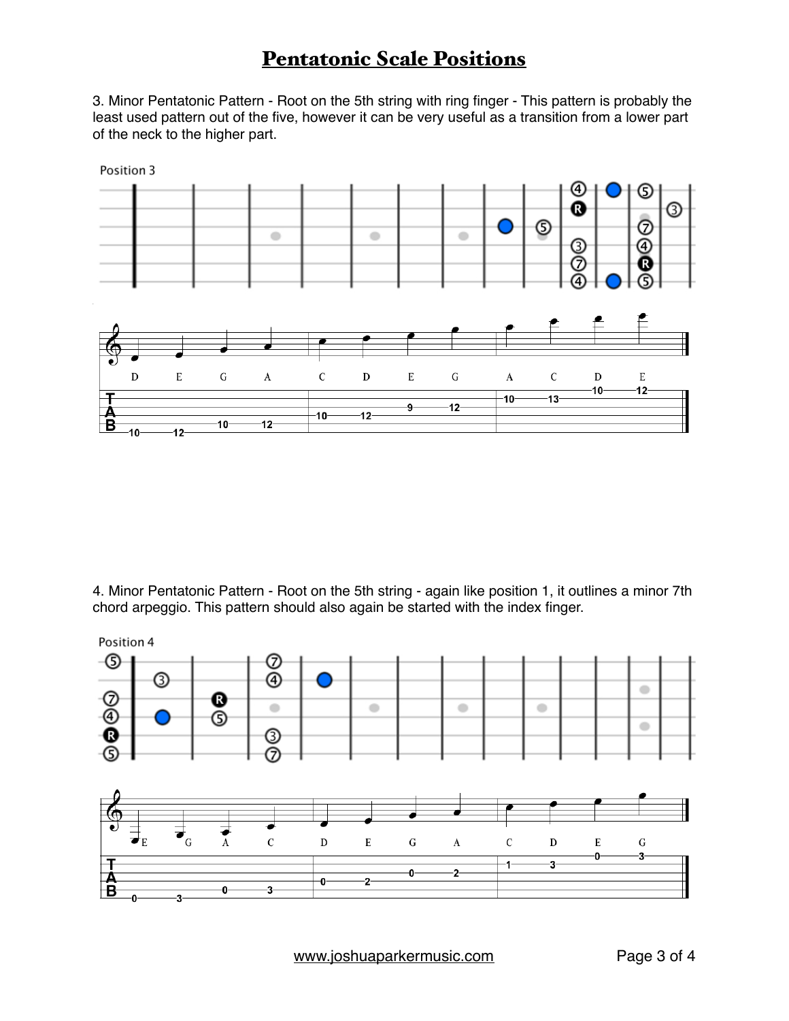3. Minor Pentatonic Pattern - Root on the 5th string with ring finger - This pattern is probably the least used pattern out of the five, however it can be very useful as a transition from a lower part of the neck to the higher part.



4. Minor Pentatonic Pattern - Root on the 5th string - again like position 1, it outlines a minor 7th chord arpeggio. This pattern should also again be started with the index finger.



[www.joshuaparkermusic.com](http://www.joshuaparkermusic.com) Page 3 of 4